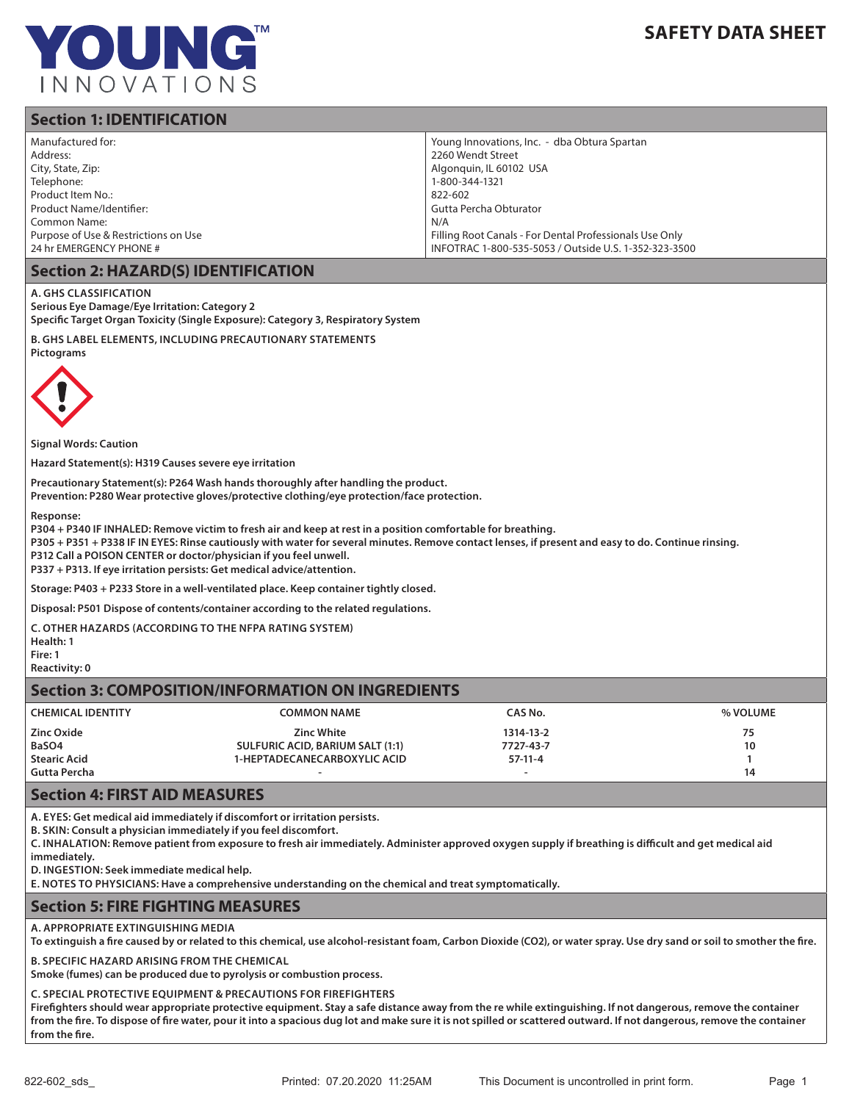

# **SAFETY DATA SHEET**

## **Section 1: IDENTIFICATION**

| Manufactured for:<br>Address:<br>City, State, Zip:<br>Telephone:<br>Product Item No.:<br>Product Name/Identifier:<br>Common Name:<br>Purpose of Use & Restrictions on Use<br>24 hr EMERGENCY PHONE # | Young Innovations, Inc. - dba Obtura Spartan<br>2260 Wendt Street<br>Algonguin, IL 60102 USA<br>1-800-344-1321<br>822-602<br>Gutta Percha Obturator<br>N/A<br>Filling Root Canals - For Dental Professionals Use Only<br>INFOTRAC 1-800-535-5053 / Outside U.S. 1-352-323-3500 |  |
|------------------------------------------------------------------------------------------------------------------------------------------------------------------------------------------------------|--------------------------------------------------------------------------------------------------------------------------------------------------------------------------------------------------------------------------------------------------------------------------------|--|
| <b>Section 2: HAZARD(S) IDENTIFICATION</b>                                                                                                                                                           |                                                                                                                                                                                                                                                                                |  |
| A. GHS CLASSIFICATION<br>Serious Eye Damage/Eye Irritation: Category 2<br>Specific Target Organ Toxicity (Single Exposure): Category 3, Respiratory System                                           |                                                                                                                                                                                                                                                                                |  |

**B. GHS LABEL ELEMENTS, INCLUDING PRECAUTIONARY STATEMENTS Pictograms**



**Signal Words: Caution** 

**Hazard Statement(s): H319 Causes severe eye irritation** 

**Precautionary Statement(s): P264 Wash hands thoroughly after handling the product.** 

**Prevention: P280 Wear protective gloves/protective clothing/eye protection/face protection.** 

**Response:** 

**P304 + P340 IF INHALED: Remove victim to fresh air and keep at rest in a position comfortable for breathing.** 

**P305 + P351 + P338 IF IN EYES: Rinse cautiously with water for several minutes. Remove contact lenses, if present and easy to do. Continue rinsing.** 

**P312 Call a POISON CENTER or doctor/physician if you feel unwell.** 

**P337 + P313. If eye irritation persists: Get medical advice/attention.** 

**Storage: P403 + P233 Store in a well-ventilated place. Keep container tightly closed.** 

**Disposal: P501 Dispose of contents/container according to the related regulations.**

**C. OTHER HAZARDS (ACCORDING TO THE NFPA RATING SYSTEM)**

**Health: 1 Fire: 1** 

**Reactivity: 0**

### **Section 3: COMPOSITION/INFORMATION ON INGREDIENTS**

| <b>CHEMICAL IDENTITY</b> | <b>COMMON NAME</b>                  | CAS No.   | % VOLUME |
|--------------------------|-------------------------------------|-----------|----------|
| Zinc Oxide               | <b>Zinc White</b>                   | 1314-13-2 | 75       |
| BaSO4                    | SULFURIC ACID, BARIUM SALT (1:1)    | 7727-43-7 | 10       |
| <b>Stearic Acid</b>      | <b>1-HEPTADECANECARBOXYLIC ACID</b> | $57-11-4$ |          |
| Gutta Percha             |                                     | -         | 14       |

#### **Section 4: FIRST AID MEASURES**

**A. EYES: Get medical aid immediately if discomfort or irritation persists.** 

**B. SKIN: Consult a physician immediately if you feel discomfort.** 

**C. INHALATION: Remove patient from exposure to fresh air immediately. Administer approved oxygen supply if breathing is difficult and get medical aid immediately.** 

**D. INGESTION: Seek immediate medical help.** 

**E. NOTES TO PHYSICIANS: Have a comprehensive understanding on the chemical and treat symptomatically.**

### **Section 5: FIRE FIGHTING MEASURES**

**A. APPROPRIATE EXTINGUISHING MEDIA** 

**To extinguish a fire caused by or related to this chemical, use alcohol-resistant foam, Carbon Dioxide (CO2), or water spray. Use dry sand or soil to smother the fire.**

**B. SPECIFIC HAZARD ARISING FROM THE CHEMICAL** 

**Smoke (fumes) can be produced due to pyrolysis or combustion process.**

**C. SPECIAL PROTECTIVE EQUIPMENT & PRECAUTIONS FOR FIREFIGHTERS**

**Firefighters should wear appropriate protective equipment. Stay a safe distance away from the re while extinguishing. If not dangerous, remove the container from the fire. To dispose of fire water, pour it into a spacious dug lot and make sure it is not spilled or scattered outward. If not dangerous, remove the container from the fire.**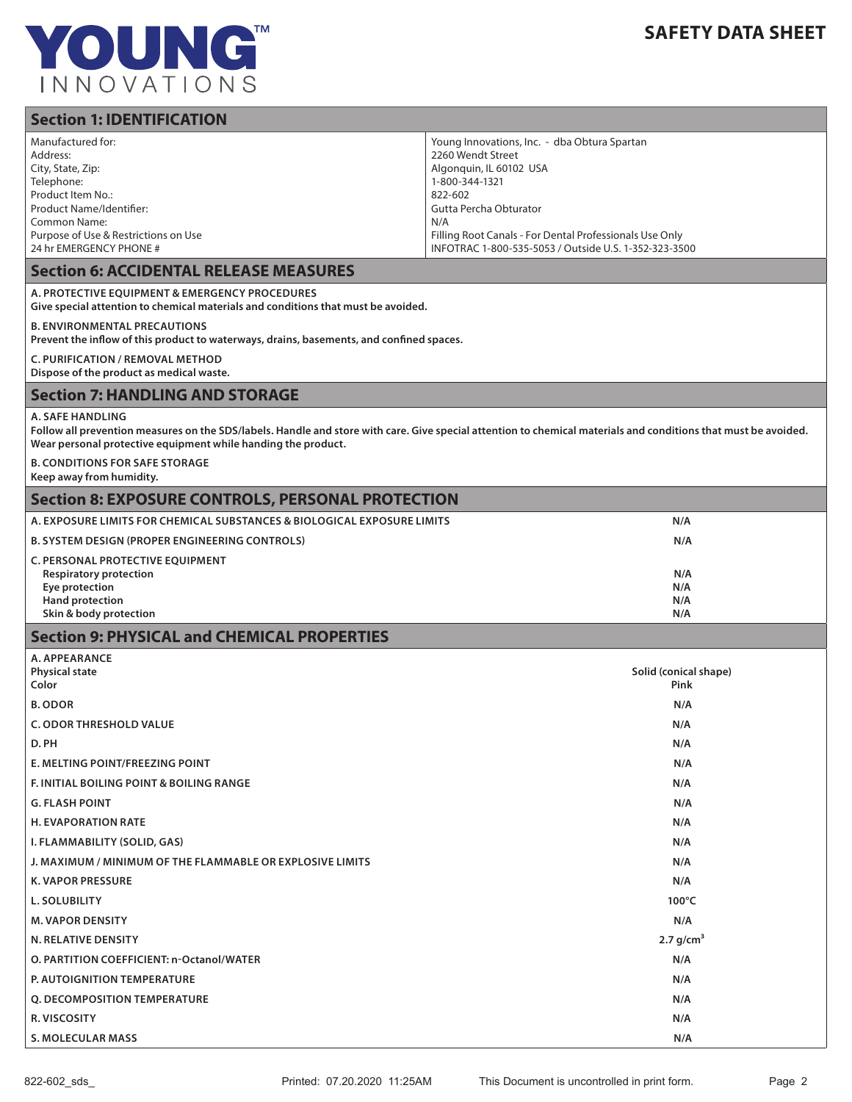

# **Section 1: IDENTIFICATION**

| Section 1: IDENTIFICATION                                                                                                                                                                                                                                    |                                                                                                                                                                                                                                                                                |  |
|--------------------------------------------------------------------------------------------------------------------------------------------------------------------------------------------------------------------------------------------------------------|--------------------------------------------------------------------------------------------------------------------------------------------------------------------------------------------------------------------------------------------------------------------------------|--|
| Manufactured for:<br>Address:<br>City, State, Zip:<br>Telephone:<br>Product Item No.:<br>Product Name/Identifier:<br><b>Common Name:</b><br>Purpose of Use & Restrictions on Use<br>24 hr EMERGENCY PHONE #<br><b>Section 6: ACCIDENTAL RELEASE MEASURES</b> | Young Innovations, Inc. - dba Obtura Spartan<br>2260 Wendt Street<br>Algonquin, IL 60102 USA<br>1-800-344-1321<br>822-602<br>Gutta Percha Obturator<br>N/A<br>Filling Root Canals - For Dental Professionals Use Only<br>INFOTRAC 1-800-535-5053 / Outside U.S. 1-352-323-3500 |  |
|                                                                                                                                                                                                                                                              |                                                                                                                                                                                                                                                                                |  |
| A. PROTECTIVE EQUIPMENT & EMERGENCY PROCEDURES<br>Give special attention to chemical materials and conditions that must be avoided.                                                                                                                          |                                                                                                                                                                                                                                                                                |  |
| <b>B. ENVIRONMENTAL PRECAUTIONS</b><br>Prevent the inflow of this product to waterways, drains, basements, and confined spaces.                                                                                                                              |                                                                                                                                                                                                                                                                                |  |
| <b>C. PURIFICATION / REMOVAL METHOD</b><br>Dispose of the product as medical waste.                                                                                                                                                                          |                                                                                                                                                                                                                                                                                |  |
| <b>Section 7: HANDLING AND STORAGE</b>                                                                                                                                                                                                                       |                                                                                                                                                                                                                                                                                |  |
| <b>A. SAFE HANDLING</b><br>Follow all prevention measures on the SDS/labels. Handle and store with care. Give special attention to chemical materials and conditions that must be avoided.<br>Wear personal protective equipment while handing the product.  |                                                                                                                                                                                                                                                                                |  |
| <b>B. CONDITIONS FOR SAFE STORAGE</b><br>Keep away from humidity.                                                                                                                                                                                            |                                                                                                                                                                                                                                                                                |  |
| <b>Section 8: EXPOSURE CONTROLS, PERSONAL PROTECTION</b>                                                                                                                                                                                                     |                                                                                                                                                                                                                                                                                |  |
| A. EXPOSURE LIMITS FOR CHEMICAL SUBSTANCES & BIOLOGICAL EXPOSURE LIMITS                                                                                                                                                                                      | N/A                                                                                                                                                                                                                                                                            |  |
| <b>B. SYSTEM DESIGN (PROPER ENGINEERING CONTROLS)</b>                                                                                                                                                                                                        | N/A                                                                                                                                                                                                                                                                            |  |
| C. PERSONAL PROTECTIVE EQUIPMENT<br><b>Respiratory protection</b><br>Eye protection<br><b>Hand protection</b><br>Skin & body protection                                                                                                                      | N/A<br>N/A<br>N/A<br>N/A                                                                                                                                                                                                                                                       |  |
| <b>Section 9: PHYSICAL and CHEMICAL PROPERTIES</b>                                                                                                                                                                                                           |                                                                                                                                                                                                                                                                                |  |
| A. APPEARANCE<br><b>Physical state</b><br>Color                                                                                                                                                                                                              | Solid (conical shape)<br>Pink                                                                                                                                                                                                                                                  |  |
| <b>B. ODOR</b>                                                                                                                                                                                                                                               | N/A                                                                                                                                                                                                                                                                            |  |
| <b>C. ODOR THRESHOLD VALUE</b>                                                                                                                                                                                                                               | N/A                                                                                                                                                                                                                                                                            |  |
| D. PH                                                                                                                                                                                                                                                        | N/A                                                                                                                                                                                                                                                                            |  |
| E. MELTING POINT/FREEZING POINT                                                                                                                                                                                                                              | N/A                                                                                                                                                                                                                                                                            |  |
| F. INITIAL BOILING POINT & BOILING RANGE                                                                                                                                                                                                                     | N/A                                                                                                                                                                                                                                                                            |  |
| <b>G. FLASH POINT</b>                                                                                                                                                                                                                                        | N/A                                                                                                                                                                                                                                                                            |  |
| <b>H. EVAPORATION RATE</b>                                                                                                                                                                                                                                   | N/A                                                                                                                                                                                                                                                                            |  |
| I. FLAMMABILITY (SOLID, GAS)                                                                                                                                                                                                                                 | N/A                                                                                                                                                                                                                                                                            |  |
| J. MAXIMUM / MINIMUM OF THE FLAMMABLE OR EXPLOSIVE LIMITS                                                                                                                                                                                                    | N/A                                                                                                                                                                                                                                                                            |  |
| <b>K. VAPOR PRESSURE</b>                                                                                                                                                                                                                                     | N/A                                                                                                                                                                                                                                                                            |  |

**L. SOLUBILITY 100°C**

**M. VAPOR DENSITY** N/A

**N. RELATIVE DENSITY** 2.7 g/cm $^3$ 

**O. PARTITION COEFFICIENT: n-Octanol/WATER N/A** 

**P. AUTOIGNITION TEMPERATURE N/A**

**Q. DECOMPOSITION TEMPERATURE** N/A

**R. VISCOSITY** N/A

**S. MOLECULAR MASS N/A**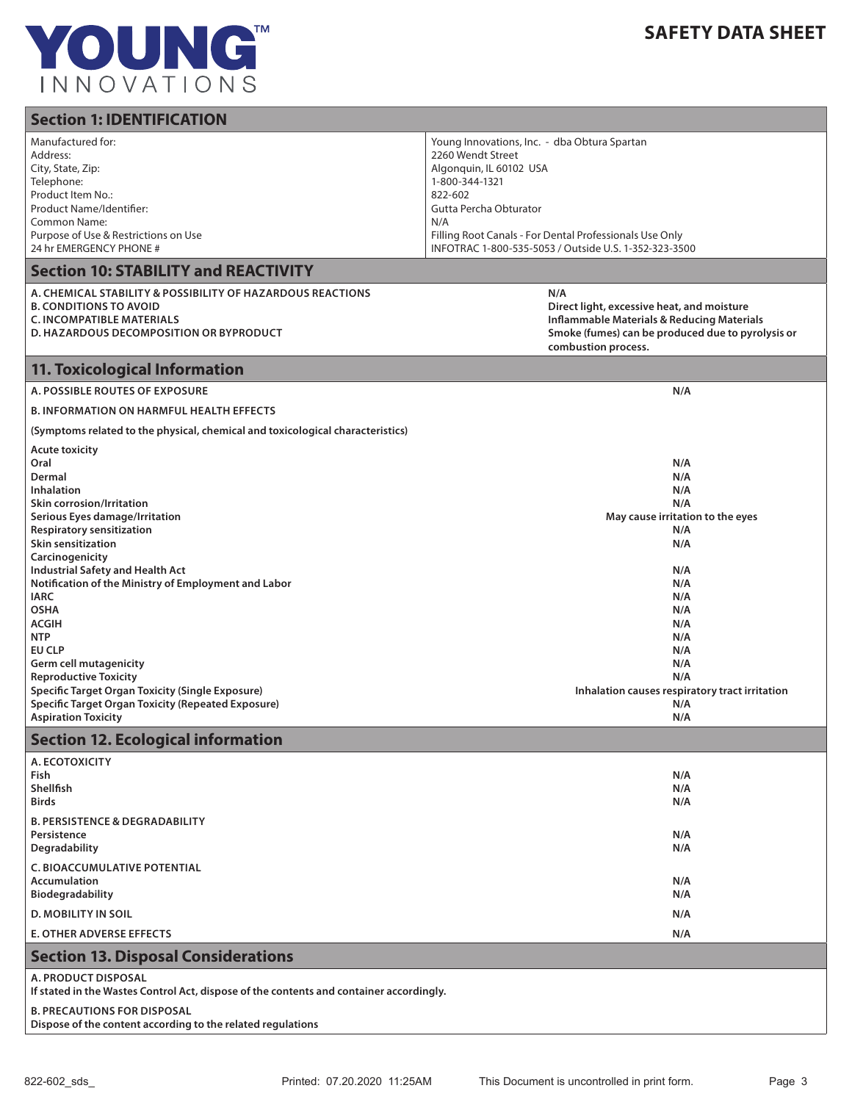

| <b>Section 1: IDENTIFICATION</b>                                                                                                                                                                                                                                                                                                                                                                                                                                                                                                                                                                                              |                                                                                                                                                                                                                                                                                |  |
|-------------------------------------------------------------------------------------------------------------------------------------------------------------------------------------------------------------------------------------------------------------------------------------------------------------------------------------------------------------------------------------------------------------------------------------------------------------------------------------------------------------------------------------------------------------------------------------------------------------------------------|--------------------------------------------------------------------------------------------------------------------------------------------------------------------------------------------------------------------------------------------------------------------------------|--|
| Manufactured for:<br>Address:<br>City, State, Zip:<br>Telephone:<br>Product Item No.:<br>Product Name/Identifier:<br>Common Name:<br>Purpose of Use & Restrictions on Use<br>24 hr EMERGENCY PHONE #                                                                                                                                                                                                                                                                                                                                                                                                                          | Young Innovations, Inc. - dba Obtura Spartan<br>2260 Wendt Street<br>Algonguin, IL 60102 USA<br>1-800-344-1321<br>822-602<br>Gutta Percha Obturator<br>N/A<br>Filling Root Canals - For Dental Professionals Use Only<br>INFOTRAC 1-800-535-5053 / Outside U.S. 1-352-323-3500 |  |
| <b>Section 10: STABILITY and REACTIVITY</b>                                                                                                                                                                                                                                                                                                                                                                                                                                                                                                                                                                                   |                                                                                                                                                                                                                                                                                |  |
| A. CHEMICAL STABILITY & POSSIBILITY OF HAZARDOUS REACTIONS<br>B. CONDITIONS TO AVOID<br><b>C. INCOMPATIBLE MATERIALS</b><br>D. HAZARDOUS DECOMPOSITION OR BYPRODUCT                                                                                                                                                                                                                                                                                                                                                                                                                                                           | N/A<br>Direct light, excessive heat, and moisture<br><b>Inflammable Materials &amp; Reducing Materials</b><br>Smoke (fumes) can be produced due to pyrolysis or<br>combustion process.                                                                                         |  |
| <b>11. Toxicological Information</b>                                                                                                                                                                                                                                                                                                                                                                                                                                                                                                                                                                                          |                                                                                                                                                                                                                                                                                |  |
| <b>A. POSSIBLE ROUTES OF EXPOSURE</b>                                                                                                                                                                                                                                                                                                                                                                                                                                                                                                                                                                                         | N/A                                                                                                                                                                                                                                                                            |  |
| <b>B. INFORMATION ON HARMFUL HEALTH EFFECTS</b>                                                                                                                                                                                                                                                                                                                                                                                                                                                                                                                                                                               |                                                                                                                                                                                                                                                                                |  |
| (Symptoms related to the physical, chemical and toxicological characteristics)                                                                                                                                                                                                                                                                                                                                                                                                                                                                                                                                                |                                                                                                                                                                                                                                                                                |  |
| <b>Acute toxicity</b><br>Oral<br>Dermal<br><b>Inhalation</b><br><b>Skin corrosion/Irritation</b><br>Serious Eyes damage/Irritation<br><b>Respiratory sensitization</b><br><b>Skin sensitization</b><br>Carcinogenicity<br><b>Industrial Safety and Health Act</b><br>Notification of the Ministry of Employment and Labor<br><b>IARC</b><br><b>OSHA</b><br><b>ACGIH</b><br><b>NTP</b><br><b>EU CLP</b><br><b>Germ cell mutagenicity</b><br><b>Reproductive Toxicity</b><br><b>Specific Target Organ Toxicity (Single Exposure)</b><br><b>Specific Target Organ Toxicity (Repeated Exposure)</b><br><b>Aspiration Toxicity</b> | N/A<br>N/A<br>N/A<br>N/A<br>May cause irritation to the eyes<br>N/A<br>N/A<br>N/A<br>N/A<br>N/A<br>N/A<br>N/A<br>N/A<br>N/A<br>N/A<br>N/A<br>Inhalation causes respiratory tract irritation<br>N/A<br>N/A                                                                      |  |
| <b>Section 12. Ecological information</b>                                                                                                                                                                                                                                                                                                                                                                                                                                                                                                                                                                                     |                                                                                                                                                                                                                                                                                |  |
| A. ECOTOXICITY<br>Fish<br>Shellfish<br><b>Birds</b>                                                                                                                                                                                                                                                                                                                                                                                                                                                                                                                                                                           | N/A<br>N/A<br>N/A                                                                                                                                                                                                                                                              |  |
| <b>B. PERSISTENCE &amp; DEGRADABILITY</b><br>Persistence<br><b>Degradability</b>                                                                                                                                                                                                                                                                                                                                                                                                                                                                                                                                              | N/A<br>N/A                                                                                                                                                                                                                                                                     |  |
| <b>C. BIOACCUMULATIVE POTENTIAL</b><br><b>Accumulation</b><br>Biodegradability<br><b>D. MOBILITY IN SOIL</b>                                                                                                                                                                                                                                                                                                                                                                                                                                                                                                                  | N/A<br>N/A<br>N/A                                                                                                                                                                                                                                                              |  |
| <b>E. OTHER ADVERSE EFFECTS</b>                                                                                                                                                                                                                                                                                                                                                                                                                                                                                                                                                                                               | N/A                                                                                                                                                                                                                                                                            |  |
| <b>Section 13. Disposal Considerations</b>                                                                                                                                                                                                                                                                                                                                                                                                                                                                                                                                                                                    |                                                                                                                                                                                                                                                                                |  |
| A. PRODUCT DISPOSAL<br>If stated in the Wastes Control Act, dispose of the contents and container accordingly.                                                                                                                                                                                                                                                                                                                                                                                                                                                                                                                |                                                                                                                                                                                                                                                                                |  |
| <b>B. PRECAUTIONS FOR DISPOSAL</b>                                                                                                                                                                                                                                                                                                                                                                                                                                                                                                                                                                                            |                                                                                                                                                                                                                                                                                |  |

**Dispose of the content according to the related regulations**